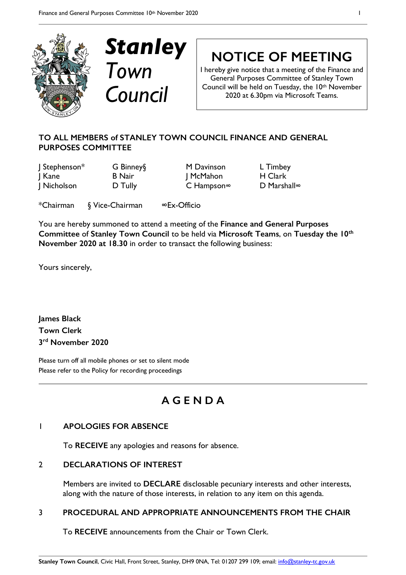



**NOTICE OF MEETING**

I hereby give notice that a meeting of the Finance and General Purposes Committee of Stanley Town Council will be held on Tuesday, the 10th November 2020 at 6.30pm via Microsoft Teams.

### **TO ALL MEMBERS of STANLEY TOWN COUNCIL FINANCE AND GENERAL PURPOSES COMMITTEE**

J Stephenson\* G Binney§ M Davinson L Timbey I Kane B Nair J McMahon H Clark J Nicholson D Tully C Hampson**∞** D Marshall**∞**

\*Chairman § Vice-Chairman **∞**Ex-Officio

You are hereby summoned to attend a meeting of the **Finance and General Purposes Committee** of **Stanley Town Council** to be held via **Microsoft Teams**, on **Tuesday the 10th November 2020 at 18.30** in order to transact the following business:

Yours sincerely,

**James Black Town Clerk 3rd November 2020**

Please turn off all mobile phones or set to silent mode Please refer to the Policy for recording proceedings

## **A G E N D A**

#### 1 **APOLOGIES FOR ABSENCE**

To **RECEIVE** any apologies and reasons for absence.

#### 2 **DECLARATIONS OF INTEREST**

Members are invited to **DECLARE** disclosable pecuniary interests and other interests, along with the nature of those interests, in relation to any item on this agenda.

#### 3 **PROCEDURAL AND APPROPRIATE ANNOUNCEMENTS FROM THE CHAIR**

To **RECEIVE** announcements from the Chair or Town Clerk.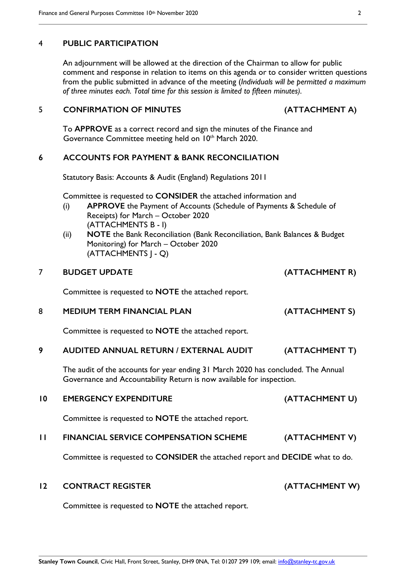#### 4 **PUBLIC PARTICIPATION**

An adjournment will be allowed at the direction of the Chairman to allow for public comment and response in relation to items on this agenda or to consider written questions from the public submitted in advance of the meeting (*Individuals will be permitted a maximum of three minutes each. Total time for this session is limited to fifteen minutes).*

#### 5 **CONFIRMATION OF MINUTES (ATTACHMENT A)**

To **APPROVE** as a correct record and sign the minutes of the Finance and Governance Committee meeting held on 10<sup>th</sup> March 2020.

#### **6 ACCOUNTS FOR PAYMENT & BANK RECONCILIATION**

Statutory Basis: Accounts & Audit (England) Regulations 2011

Committee is requested to **CONSIDER** the attached information and

- (i) **APPROVE** the Payment of Accounts (Schedule of Payments & Schedule of Receipts) for March – October 2020 (ATTACHMENTS B - I)
- (ii) **NOTE** the Bank Reconciliation (Bank Reconciliation, Bank Balances & Budget Monitoring) for March – October 2020 (ATTACHMENTS J - Q)

#### 7 **BUDGET UPDATE (ATTACHMENT R)**

Committee is requested to **NOTE** the attached report.

8 **MEDIUM TERM FINANCIAL PLAN (ATTACHMENT S)**

Committee is requested to **NOTE** the attached report.

#### **9 AUDITED ANNUAL RETURN / EXTERNAL AUDIT (ATTACHMENT T)**

The audit of the accounts for year ending 31 March 2020 has concluded. The Annual Governance and Accountability Return is now available for inspection.

# **10 EMERGENCY EXPENDITURE (ATTACHMENT U)** Committee is requested to **NOTE** the attached report. **11 FINANCIAL SERVICE COMPENSATION SCHEME (ATTACHMENT V)**

Committee is requested to **CONSIDER** the attached report and **DECIDE** what to do.

#### **12 CONTRACT REGISTER (ATTACHMENT W)**

Committee is requested to **NOTE** the attached report.